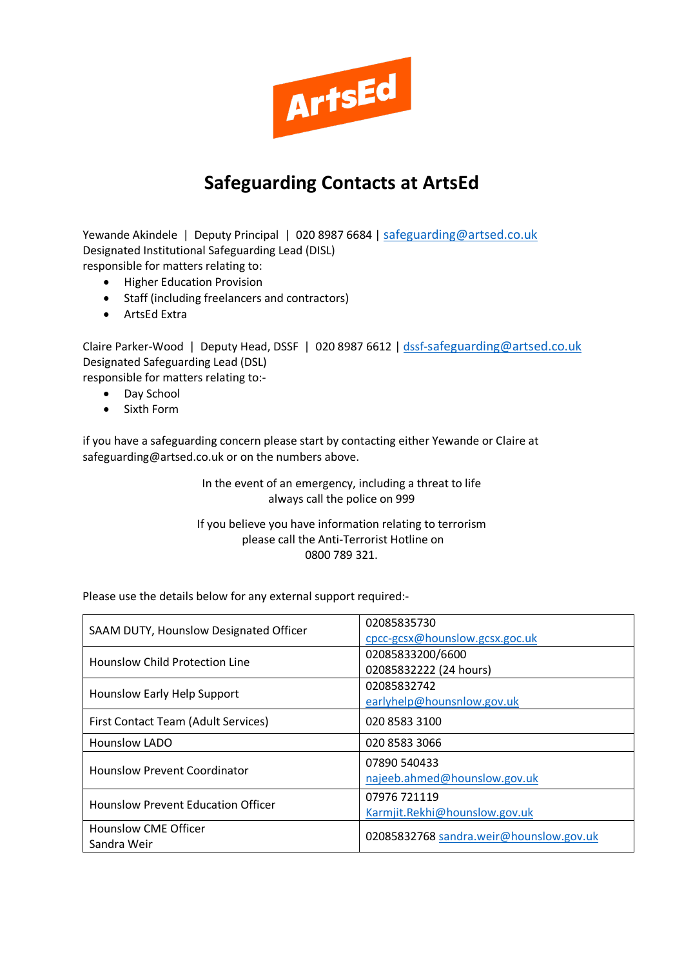

## **Safeguarding Contacts at ArtsEd**

Yewande Akindele | Deputy Principal | 020 8987 6684 | [safeguarding@artsed.co.uk](mailto:safeguarding@artsed.co.uk) Designated Institutional Safeguarding Lead (DISL) responsible for matters relating to:

- Higher Education Provision
- Staff (including freelancers and contractors)
- ArtsEd Extra

Claire Parker-Wood | Deputy Head, DSSF | 020 8987 6612 | [dssf-safeguarding@artsed.co.uk](mailto:dssf-safeguarding@artsed.co.uk) Designated Safeguarding Lead (DSL)

responsible for matters relating to:-

- Day School
- Sixth Form

if you have a safeguarding concern please start by contacting either Yewande or Claire at safeguarding@artsed.co.uk or on the numbers above.

> In the event of an emergency, including a threat to life always call the police on 999

If you believe you have information relating to terrorism please call the Anti-Terrorist Hotline on 0800 789 321.

Please use the details below for any external support required:-

| SAAM DUTY, Hounslow Designated Officer    | 02085835730                             |
|-------------------------------------------|-----------------------------------------|
|                                           | cpcc-gcsx@hounslow.gcsx.goc.uk          |
| Hounslow Child Protection Line            | 02085833200/6600                        |
|                                           | 02085832222 (24 hours)                  |
| Hounslow Early Help Support               | 02085832742                             |
|                                           | earlyhelp@hounsnlow.gov.uk              |
| First Contact Team (Adult Services)       | 020 8583 3100                           |
| <b>Hounslow LADO</b>                      | 020 8583 3066                           |
| <b>Hounslow Prevent Coordinator</b>       | 07890 540433                            |
|                                           | najeeb.ahmed@hounslow.gov.uk            |
| <b>Hounslow Prevent Education Officer</b> | 07976 721119                            |
|                                           | Karmjit.Rekhi@hounslow.gov.uk           |
| <b>Hounslow CME Officer</b>               | 02085832768 sandra.weir@hounslow.gov.uk |
| Sandra Weir                               |                                         |